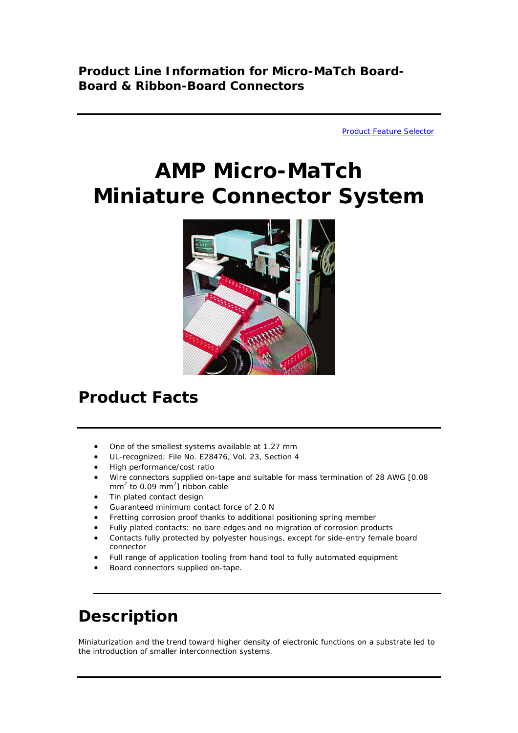[Product Feature Selector](http://catalog.tycoelectronics.com/TE/bin/TE.Connect?C=11398&M=FEAT&G=G) 

# **AMP Micro-MaTch Miniature Connector System**



# **Product Facts**

- One of the smallest systems available at 1.27 mm
- UL-recognized: File No. E28476, Vol. 23, Section 4
- High performance/cost ratio
- Wire connectors supplied on-tape and suitable for mass termination of 28 AWG [0.08  $mm<sup>2</sup>$  to 0.09 mm<sup>2</sup>] ribbon cable
- Tin plated contact design
- Guaranteed minimum contact force of 2.0 N
- Fretting corrosion proof thanks to additional positioning spring member
- Fully plated contacts: no bare edges and no migration of corrosion products
- Contacts fully protected by polyester housings, except for side-entry female board connector
- Full range of application tooling from hand tool to fully automated equipment
- Board connectors supplied on-tape.

## **Description**

Miniaturization and the trend toward higher density of electronic functions on a substrate led to the introduction of smaller interconnection systems.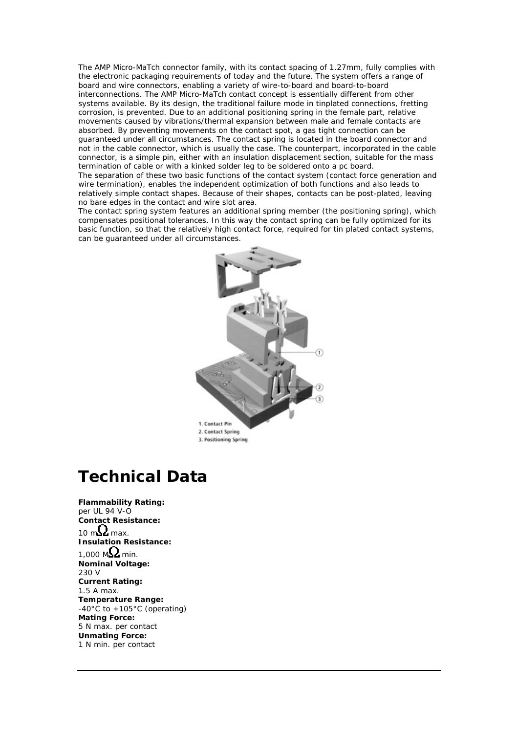The AMP Micro-MaTch connector family, with its contact spacing of 1.27mm, fully complies with the electronic packaging requirements of today and the future. The system offers a range of board and wire connectors, enabling a variety of wire-to-board and board-to-board interconnections. The AMP Micro-MaTch contact concept is essentially different from other systems available. By its design, the traditional failure mode in tinplated connections, fretting corrosion, is prevented. Due to an additional positioning spring in the female part, relative movements caused by vibrations/thermal expansion between male and female contacts are absorbed. By preventing movements on the contact spot, a gas tight connection can be guaranteed under all circumstances. The contact spring is located in the board connector and not in the cable connector, which is usually the case. The counterpart, incorporated in the cable connector, is a simple pin, either with an insulation displacement section, suitable for the mass termination of cable or with a kinked solder leg to be soldered onto a pc board.

The separation of these two basic functions of the contact system (contact force generation and wire termination), enables the independent optimization of both functions and also leads to relatively simple contact shapes. Because of their shapes, contacts can be post-plated, leaving no bare edges in the contact and wire slot area.

The contact spring system features an additional spring member (the positioning spring), which compensates positional tolerances. In this way the contact spring can be fully optimized for its basic function, so that the relatively high contact force, required for tin plated contact systems, can be guaranteed under all circumstances.



#### **Technical Data**

**Flammability Rating:** per UL 94 V-O **Contact Resistance:** 10 m $\Omega$  max. **Insulation Resistance:** 1,000 M $\Omega$  min. **Nominal Voltage:** 230 V **Current Rating:** 1.5 A max. **Temperature Range:** -40°C to +105°C (operating) **Mating Force:** 5 N max. per contact **Unmating Force:** 1 N min. per contact